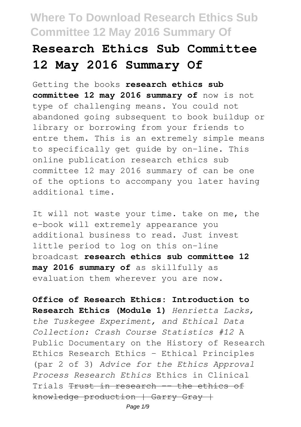# **Research Ethics Sub Committee 12 May 2016 Summary Of**

Getting the books **research ethics sub committee 12 may 2016 summary of** now is not type of challenging means. You could not abandoned going subsequent to book buildup or library or borrowing from your friends to entre them. This is an extremely simple means to specifically get guide by on-line. This online publication research ethics sub committee 12 may 2016 summary of can be one of the options to accompany you later having additional time.

It will not waste your time. take on me, the e-book will extremely appearance you additional business to read. Just invest little period to log on this on-line broadcast **research ethics sub committee 12 may 2016 summary of** as skillfully as evaluation them wherever you are now.

**Office of Research Ethics: Introduction to Research Ethics (Module 1)** *Henrietta Lacks, the Tuskegee Experiment, and Ethical Data Collection: Crash Course Statistics #12* A Public Documentary on the History of Research Ethics Research Ethics - Ethical Principles (par 2 of 3) *Advice for the Ethics Approval Process Research Ethics* Ethics in Clinical Trials <del>Trust in research -- the ethics of</del> knowledge production | Garry Gray +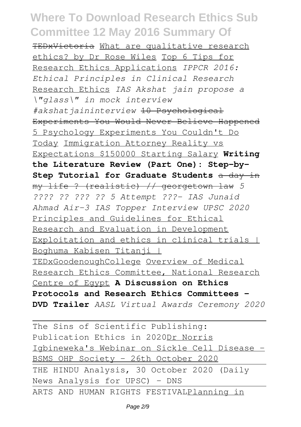TEDxVictoria What are qualitative research ethics? by Dr Rose Wiles Top 6 Tips for Research Ethics Applications *IPPCR 2016: Ethical Principles in Clinical Research* Research Ethics *IAS Akshat jain propose a \"glass\" in mock interview #akshatjaininterview* 10 Psychological Experiments You Would Never Believe Happened 5 Psychology Experiments You Couldn't Do Today Immigration Attorney Reality vs Expectations \$150000 Starting Salary **Writing the Literature Review (Part One): Step-by-Step Tutorial for Graduate Students** a day in my life ? (realistic) // georgetown law *5 ???? ?? ??? ?? 5 Attempt ???- IAS Junaid Ahmad Air-3 IAS Topper Interview UPSC 2020* Principles and Guidelines for Ethical Research and Evaluation in Development Exploitation and ethics in clinical trials I Boghuma Kabisen Titanji | TEDxGoodenoughCollege Overview of Medical Research Ethics Committee, National Research Centre of Egypt **A Discussion on Ethics Protocols and Research Ethics Committees - DVD Trailer** *AASL Virtual Awards Ceremony 2020*

The Sins of Scientific Publishing: Publication Ethics in 2020Dr Norris Igbineweka's Webinar on Sickle Cell Disease - BSMS OHP Society - 26th October 2020 THE HINDU Analysis, 30 October 2020 (Daily News Analysis for UPSC) – DNS ARTS AND HUMAN RIGHTS FESTIVALPlanning in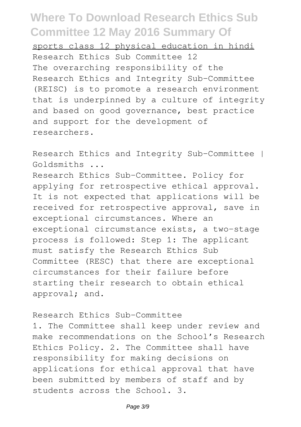sports class 12 physical education in hindi Research Ethics Sub Committee 12 The overarching responsibility of the Research Ethics and Integrity Sub-Committee (REISC) is to promote a research environment that is underpinned by a culture of integrity and based on good governance, best practice and support for the development of researchers.

Research Ethics and Integrity Sub-Committee | Goldsmiths ...

Research Ethics Sub-Committee. Policy for applying for retrospective ethical approval. It is not expected that applications will be received for retrospective approval, save in exceptional circumstances. Where an exceptional circumstance exists, a two-stage process is followed: Step 1: The applicant must satisfy the Research Ethics Sub Committee (RESC) that there are exceptional circumstances for their failure before starting their research to obtain ethical approval; and.

Research Ethics Sub-Committee

1. The Committee shall keep under review and make recommendations on the School's Research Ethics Policy. 2. The Committee shall have responsibility for making decisions on applications for ethical approval that have been submitted by members of staff and by students across the School. 3.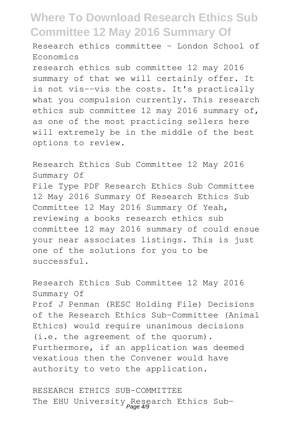Research ethics committee - London School of Economics

research ethics sub committee 12 may 2016 summary of that we will certainly offer. It is not vis--vis the costs. It's practically what you compulsion currently. This research ethics sub committee 12 may 2016 summary of, as one of the most practicing sellers here will extremely be in the middle of the best options to review.

Research Ethics Sub Committee 12 May 2016 Summary Of File Type PDF Research Ethics Sub Committee 12 May 2016 Summary Of Research Ethics Sub Committee 12 May 2016 Summary Of Yeah, reviewing a books research ethics sub committee 12 may 2016 summary of could ensue your near associates listings. This is just one of the solutions for you to be successful.

Research Ethics Sub Committee 12 May 2016 Summary Of Prof J Penman (RESC Holding File) Decisions of the Research Ethics Sub-Committee (Animal Ethics) would require unanimous decisions (i.e. the agreement of the quorum). Furthermore, if an application was deemed vexatious then the Convener would have authority to veto the application.

RESEARCH ETHICS SUB-COMMITTEE The EHU University Research Ethics Sub-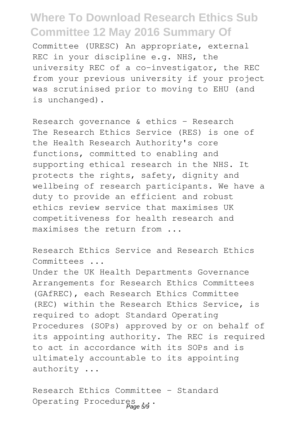Committee (URESC) An appropriate, external REC in your discipline e.g. NHS, the university REC of a co-investigator, the REC from your previous university if your project was scrutinised prior to moving to EHU (and is unchanged).

Research governance & ethics - Research The Research Ethics Service (RES) is one of the Health Research Authority's core functions, committed to enabling and supporting ethical research in the NHS. It protects the rights, safety, dignity and wellbeing of research participants. We have a duty to provide an efficient and robust ethics review service that maximises UK competitiveness for health research and maximises the return from ...

Research Ethics Service and Research Ethics Committees ...

Under the UK Health Departments Governance Arrangements for Research Ethics Committees (GAfREC), each Research Ethics Committee (REC) within the Research Ethics Service, is required to adopt Standard Operating Procedures (SOPs) approved by or on behalf of its appointing authority. The REC is required to act in accordance with its SOPs and is ultimately accountable to its appointing authority ...

Research Ethics Committee – Standard Operating Procedures ...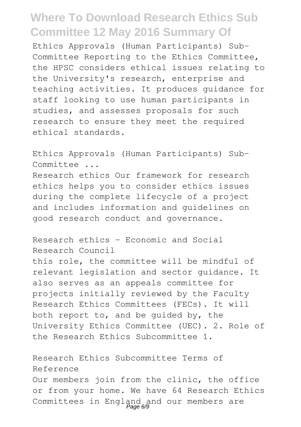Ethics Approvals (Human Participants) Sub-Committee Reporting to the Ethics Committee, the HPSC considers ethical issues relating to the University's research, enterprise and teaching activities. It produces guidance for staff looking to use human participants in studies, and assesses proposals for such research to ensure they meet the required ethical standards.

Ethics Approvals (Human Participants) Sub-Committee ...

Research ethics Our framework for research ethics helps you to consider ethics issues during the complete lifecycle of a project and includes information and guidelines on good research conduct and governance.

Research ethics - Economic and Social Research Council

this role, the committee will be mindful of relevant legislation and sector guidance. It also serves as an appeals committee for projects initially reviewed by the Faculty Research Ethics Committees (FECs). It will both report to, and be guided by, the University Ethics Committee (UEC). 2. Role of the Research Ethics Subcommittee 1.

Research Ethics Subcommittee Terms of Reference Our members join from the clinic, the office or from your home. We have 64 Research Ethics Committees in England and our members are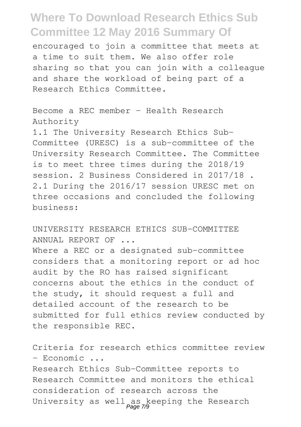encouraged to join a committee that meets at a time to suit them. We also offer role sharing so that you can join with a colleague and share the workload of being part of a Research Ethics Committee.

Become a REC member - Health Research Authority

1.1 The University Research Ethics Sub-Committee (URESC) is a sub-committee of the University Research Committee. The Committee is to meet three times during the 2018/19 session. 2 Business Considered in 2017/18 . 2.1 During the 2016/17 session URESC met on three occasions and concluded the following business:

UNIVERSITY RESEARCH ETHICS SUB-COMMITTEE ANNUAL REPORT OF ...

Where a REC or a designated sub-committee considers that a monitoring report or ad hoc audit by the RO has raised significant concerns about the ethics in the conduct of the study, it should request a full and detailed account of the research to be submitted for full ethics review conducted by the responsible REC.

Criteria for research ethics committee review - Economic ...

Research Ethics Sub-Committee reports to Research Committee and monitors the ethical consideration of research across the University as well as keeping the Research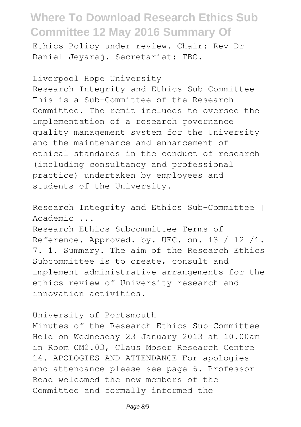Ethics Policy under review. Chair: Rev Dr Daniel Jeyaraj. Secretariat: TBC.

Liverpool Hope University Research Integrity and Ethics Sub-Committee This is a Sub-Committee of the Research Committee. The remit includes to oversee the implementation of a research governance quality management system for the University and the maintenance and enhancement of ethical standards in the conduct of research (including consultancy and professional practice) undertaken by employees and students of the University.

Research Integrity and Ethics Sub-Committee | Academic ...

Research Ethics Subcommittee Terms of Reference. Approved. by. UEC. on. 13 / 12 /1. 7. 1. Summary. The aim of the Research Ethics Subcommittee is to create, consult and implement administrative arrangements for the ethics review of University research and innovation activities.

#### University of Portsmouth

Minutes of the Research Ethics Sub-Committee Held on Wednesday 23 January 2013 at 10.00am in Room CM2.03, Claus Moser Research Centre 14. APOLOGIES AND ATTENDANCE For apologies and attendance please see page 6. Professor Read welcomed the new members of the Committee and formally informed the